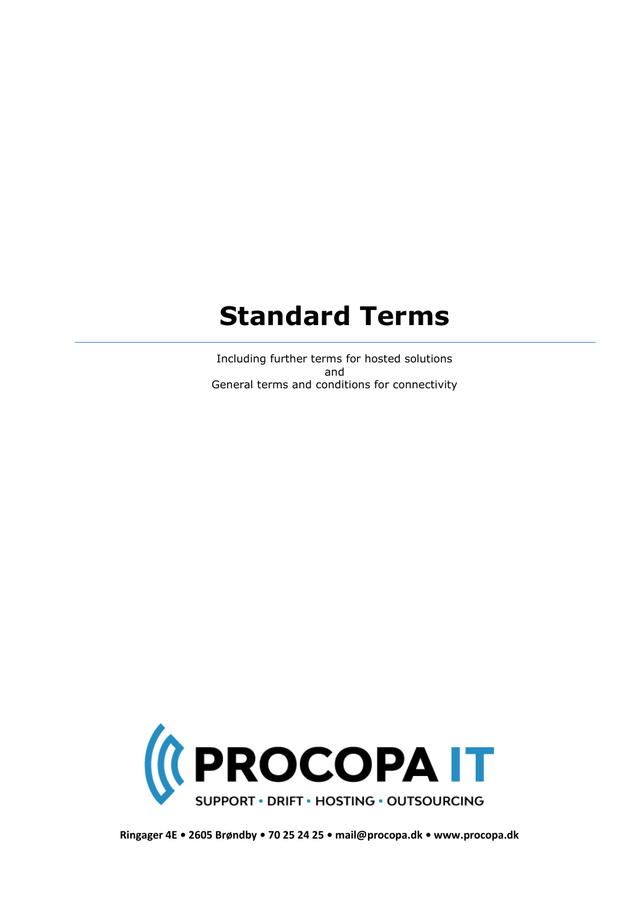# **Standard Terms**

Including further terms for hosted solutions and General terms and conditions for connectivity



**Ringager 4E • 2605 Brøndby • 70 25 24 25 • mail@procopa.dk • www.procopa.dk**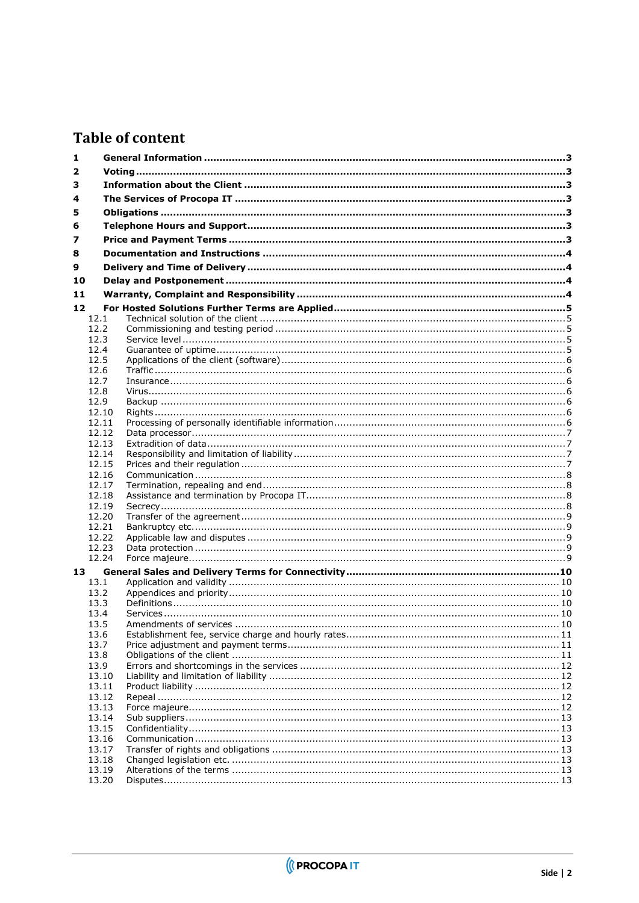### **Table of content**

| 1  |                |  |  |
|----|----------------|--|--|
| 2  |                |  |  |
| 3  |                |  |  |
|    |                |  |  |
| 4  |                |  |  |
| 5  |                |  |  |
| 6  |                |  |  |
| 7  |                |  |  |
| 8  |                |  |  |
| 9  |                |  |  |
|    |                |  |  |
| 10 |                |  |  |
| 11 |                |  |  |
| 12 |                |  |  |
|    | 12.1           |  |  |
|    | 12.2           |  |  |
|    | 12.3<br>12.4   |  |  |
|    | 12.5           |  |  |
|    | 12.6           |  |  |
|    | 12.7           |  |  |
|    | 12.8           |  |  |
|    | 12.9           |  |  |
|    | 12.10          |  |  |
|    | 12.11          |  |  |
|    | 12.12          |  |  |
|    | 12.13          |  |  |
|    | 12.14<br>12.15 |  |  |
|    | 12.16          |  |  |
|    | 12.17          |  |  |
|    | 12.18          |  |  |
|    | 12.19          |  |  |
|    | 12.20          |  |  |
|    | 12.21          |  |  |
|    | 12.22          |  |  |
|    | 12.23          |  |  |
|    | 12.24          |  |  |
| 13 |                |  |  |
|    | 13.1           |  |  |
|    | 13.2<br>13.3   |  |  |
|    | 13.4           |  |  |
|    | 13.5           |  |  |
|    | 13.6           |  |  |
|    | 13.7           |  |  |
|    | 13.8           |  |  |
|    | 13.9           |  |  |
|    | 13.10          |  |  |
|    | 13.11          |  |  |
|    | 13.12          |  |  |
|    | 13.13          |  |  |
|    | 13.14<br>13.15 |  |  |
|    | 13.16          |  |  |
|    | 13.17          |  |  |
|    | 13.18          |  |  |
|    | 13.19          |  |  |
|    | 13.20          |  |  |

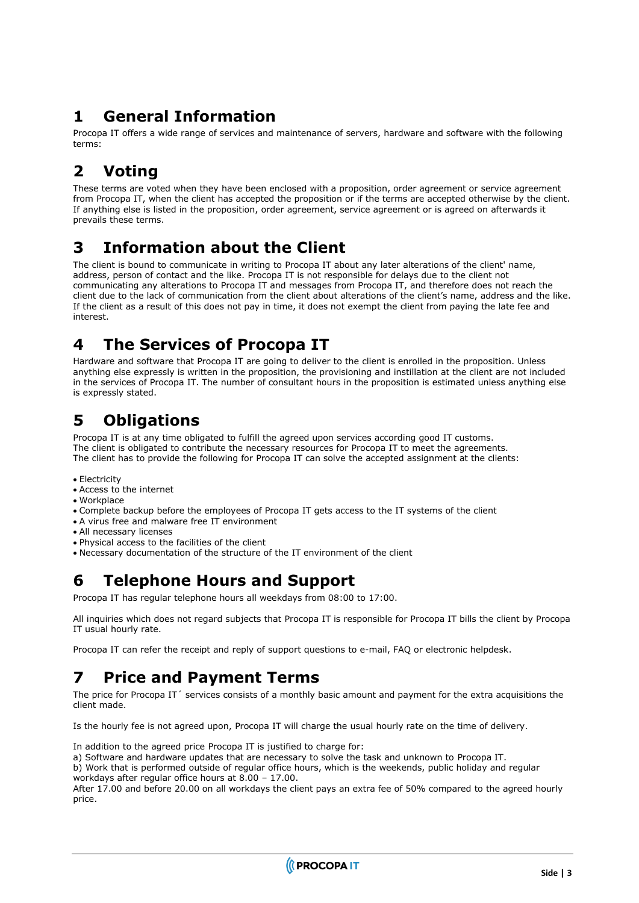### <span id="page-2-0"></span>**1 General Information**

Procopa IT offers a wide range of services and maintenance of servers, hardware and software with the following terms:

# <span id="page-2-1"></span>**2 Voting**

These terms are voted when they have been enclosed with a proposition, order agreement or service agreement from Procopa IT, when the client has accepted the proposition or if the terms are accepted otherwise by the client. If anything else is listed in the proposition, order agreement, service agreement or is agreed on afterwards it prevails these terms.

### <span id="page-2-2"></span>**3 Information about the Client**

The client is bound to communicate in writing to Procopa IT about any later alterations of the client' name, address, person of contact and the like. Procopa IT is not responsible for delays due to the client not communicating any alterations to Procopa IT and messages from Procopa IT, and therefore does not reach the client due to the lack of communication from the client about alterations of the client's name, address and the like. If the client as a result of this does not pay in time, it does not exempt the client from paying the late fee and interest.

### <span id="page-2-3"></span>**4 The Services of Procopa IT**

Hardware and software that Procopa IT are going to deliver to the client is enrolled in the proposition. Unless anything else expressly is written in the proposition, the provisioning and instillation at the client are not included in the services of Procopa IT. The number of consultant hours in the proposition is estimated unless anything else is expressly stated.

### <span id="page-2-4"></span>**5 Obligations**

Procopa IT is at any time obligated to fulfill the agreed upon services according good IT customs. The client is obligated to contribute the necessary resources for Procopa IT to meet the agreements. The client has to provide the following for Procopa IT can solve the accepted assignment at the clients:

- Electricity
- Access to the internet
- Workplace
- Complete backup before the employees of Procopa IT gets access to the IT systems of the client
- A virus free and malware free IT environment
- All necessary licenses
- Physical access to the facilities of the client
- <span id="page-2-5"></span>• Necessary documentation of the structure of the IT environment of the client

### **6 Telephone Hours and Support**

Procopa IT has regular telephone hours all weekdays from 08:00 to 17:00.

All inquiries which does not regard subjects that Procopa IT is responsible for Procopa IT bills the client by Procopa IT usual hourly rate.

<span id="page-2-6"></span>Procopa IT can refer the receipt and reply of support questions to e-mail, FAQ or electronic helpdesk.

# **7 Price and Payment Terms**

The price for Procopa IT´ services consists of a monthly basic amount and payment for the extra acquisitions the client made.

Is the hourly fee is not agreed upon, Procopa IT will charge the usual hourly rate on the time of delivery.

In addition to the agreed price Procopa IT is justified to charge for:

a) Software and hardware updates that are necessary to solve the task and unknown to Procopa IT.

b) Work that is performed outside of regular office hours, which is the weekends, public holiday and regular workdays after regular office hours at 8.00 – 17.00.

After 17.00 and before 20.00 on all workdays the client pays an extra fee of 50% compared to the agreed hourly price.

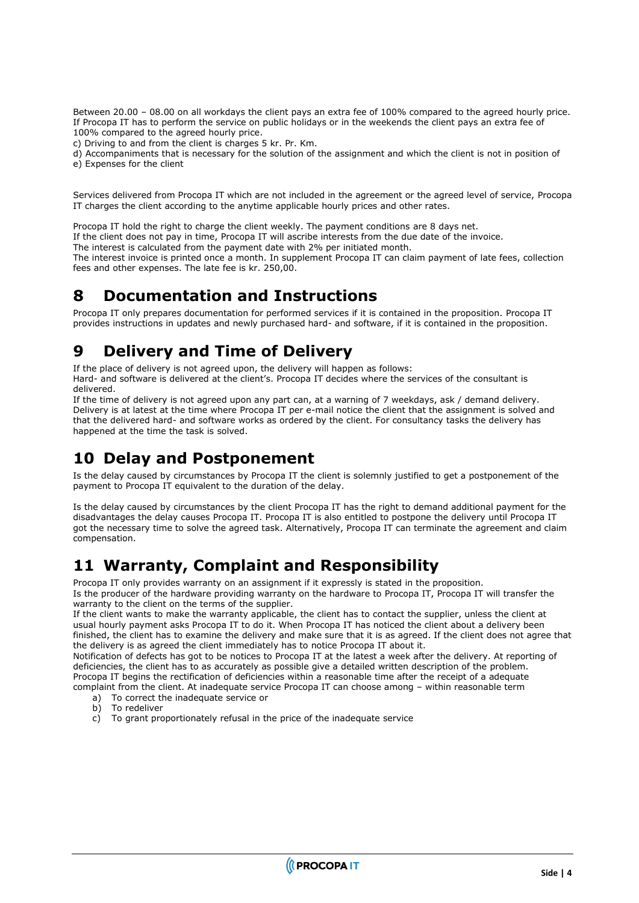Between 20.00 – 08.00 on all workdays the client pays an extra fee of 100% compared to the agreed hourly price. If Procopa IT has to perform the service on public holidays or in the weekends the client pays an extra fee of 100% compared to the agreed hourly price.

c) Driving to and from the client is charges 5 kr. Pr. Km.

d) Accompaniments that is necessary for the solution of the assignment and which the client is not in position of e) Expenses for the client

Services delivered from Procopa IT which are not included in the agreement or the agreed level of service, Procopa IT charges the client according to the anytime applicable hourly prices and other rates.

Procopa IT hold the right to charge the client weekly. The payment conditions are 8 days net.

If the client does not pay in time, Procopa IT will ascribe interests from the due date of the invoice.

The interest is calculated from the payment date with 2% per initiated month.

The interest invoice is printed once a month. In supplement Procopa IT can claim payment of late fees, collection fees and other expenses. The late fee is kr. 250,00.

### <span id="page-3-0"></span>**8 Documentation and Instructions**

Procopa IT only prepares documentation for performed services if it is contained in the proposition. Procopa IT provides instructions in updates and newly purchased hard- and software, if it is contained in the proposition.

### <span id="page-3-1"></span>**9 Delivery and Time of Delivery**

If the place of delivery is not agreed upon, the delivery will happen as follows:

Hard- and software is delivered at the client's. Procopa IT decides where the services of the consultant is delivered.

If the time of delivery is not agreed upon any part can, at a warning of 7 weekdays, ask / demand delivery. Delivery is at latest at the time where Procopa IT per e-mail notice the client that the assignment is solved and that the delivered hard- and software works as ordered by the client. For consultancy tasks the delivery has happened at the time the task is solved.

### <span id="page-3-2"></span>**10 Delay and Postponement**

Is the delay caused by circumstances by Procopa IT the client is solemnly justified to get a postponement of the payment to Procopa IT equivalent to the duration of the delay.

Is the delay caused by circumstances by the client Procopa IT has the right to demand additional payment for the disadvantages the delay causes Procopa IT. Procopa IT is also entitled to postpone the delivery until Procopa IT got the necessary time to solve the agreed task. Alternatively, Procopa IT can terminate the agreement and claim compensation.

### <span id="page-3-3"></span>**11 Warranty, Complaint and Responsibility**

Procopa IT only provides warranty on an assignment if it expressly is stated in the proposition. Is the producer of the hardware providing warranty on the hardware to Procopa IT, Procopa IT will transfer the warranty to the client on the terms of the supplier.

If the client wants to make the warranty applicable, the client has to contact the supplier, unless the client at usual hourly payment asks Procopa IT to do it. When Procopa IT has noticed the client about a delivery been finished, the client has to examine the delivery and make sure that it is as agreed. If the client does not agree that the delivery is as agreed the client immediately has to notice Procopa IT about it.

Notification of defects has got to be notices to Procopa IT at the latest a week after the delivery. At reporting of deficiencies, the client has to as accurately as possible give a detailed written description of the problem. Procopa IT begins the rectification of deficiencies within a reasonable time after the receipt of a adequate complaint from the client. At inadequate service Procopa IT can choose among – within reasonable term

- a) To correct the inadequate service or
- b) To redeliver
- c) To grant proportionately refusal in the price of the inadequate service

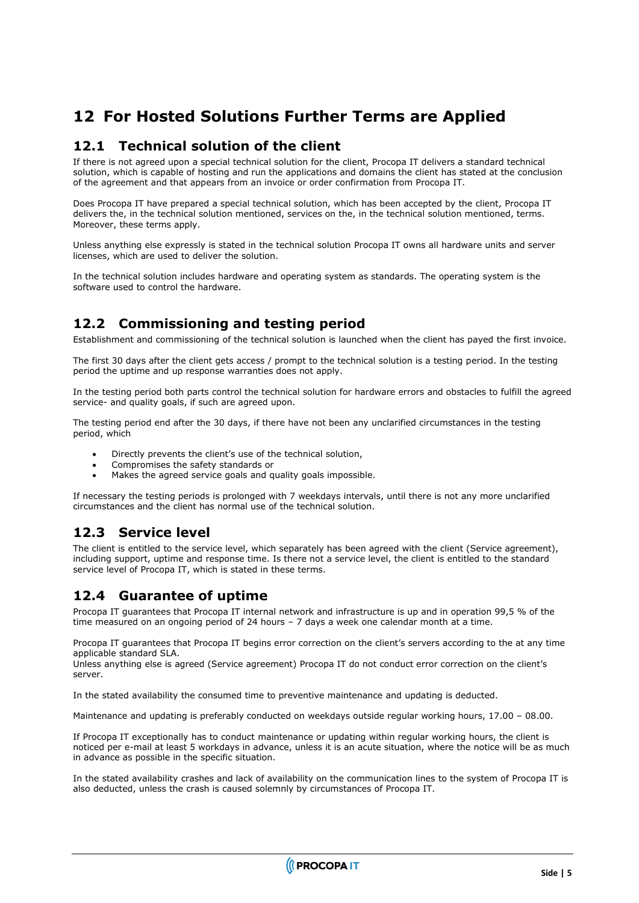### <span id="page-4-0"></span>**12 For Hosted Solutions Further Terms are Applied**

#### <span id="page-4-1"></span>**12.1 Technical solution of the client**

If there is not agreed upon a special technical solution for the client, Procopa IT delivers a standard technical solution, which is capable of hosting and run the applications and domains the client has stated at the conclusion of the agreement and that appears from an invoice or order confirmation from Procopa IT.

Does Procopa IT have prepared a special technical solution, which has been accepted by the client, Procopa IT delivers the, in the technical solution mentioned, services on the, in the technical solution mentioned, terms. Moreover, these terms apply.

Unless anything else expressly is stated in the technical solution Procopa IT owns all hardware units and server licenses, which are used to deliver the solution.

In the technical solution includes hardware and operating system as standards. The operating system is the software used to control the hardware.

#### <span id="page-4-2"></span>**12.2 Commissioning and testing period**

Establishment and commissioning of the technical solution is launched when the client has payed the first invoice.

The first 30 days after the client gets access / prompt to the technical solution is a testing period. In the testing period the uptime and up response warranties does not apply.

In the testing period both parts control the technical solution for hardware errors and obstacles to fulfill the agreed service- and quality goals, if such are agreed upon.

The testing period end after the 30 days, if there have not been any unclarified circumstances in the testing period, which

- Directly prevents the client's use of the technical solution,
- Compromises the safety standards or
- Makes the agreed service goals and quality goals impossible.

If necessary the testing periods is prolonged with 7 weekdays intervals, until there is not any more unclarified circumstances and the client has normal use of the technical solution.

#### <span id="page-4-3"></span>**12.3 Service level**

The client is entitled to the service level, which separately has been agreed with the client (Service agreement), including support, uptime and response time. Is there not a service level, the client is entitled to the standard service level of Procopa IT, which is stated in these terms.

#### <span id="page-4-4"></span>**12.4 Guarantee of uptime**

Procopa IT guarantees that Procopa IT internal network and infrastructure is up and in operation 99,5 % of the time measured on an ongoing period of 24 hours – 7 days a week one calendar month at a time.

Procopa IT guarantees that Procopa IT begins error correction on the client's servers according to the at any time applicable standard SLA.

Unless anything else is agreed (Service agreement) Procopa IT do not conduct error correction on the client's server.

In the stated availability the consumed time to preventive maintenance and updating is deducted.

Maintenance and updating is preferably conducted on weekdays outside regular working hours, 17.00 – 08.00.

If Procopa IT exceptionally has to conduct maintenance or updating within regular working hours, the client is noticed per e-mail at least 5 workdays in advance, unless it is an acute situation, where the notice will be as much in advance as possible in the specific situation.

In the stated availability crashes and lack of availability on the communication lines to the system of Procopa IT is also deducted, unless the crash is caused solemnly by circumstances of Procopa IT.

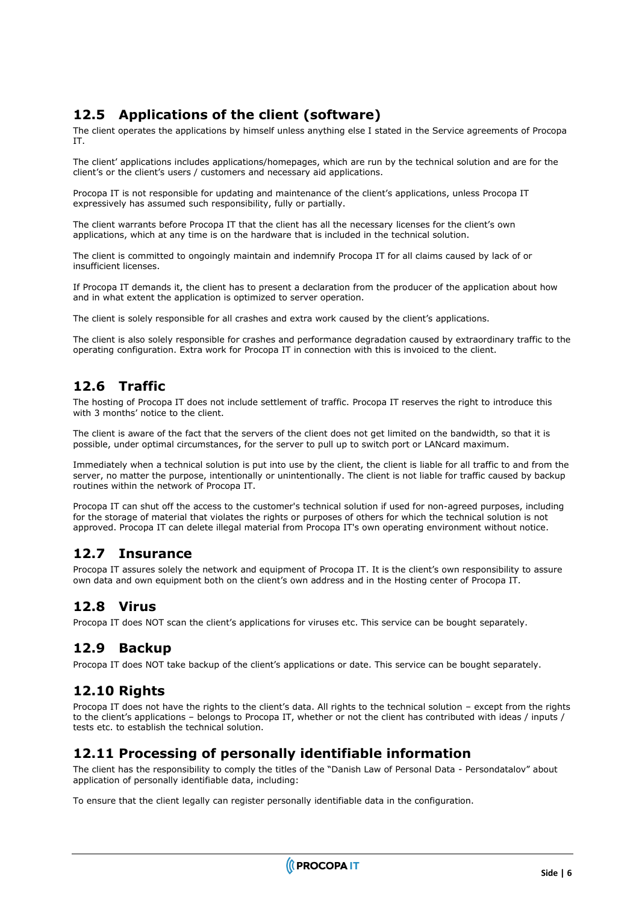#### <span id="page-5-0"></span>**12.5 Applications of the client (software)**

The client operates the applications by himself unless anything else I stated in the Service agreements of Procopa IT.

The client' applications includes applications/homepages, which are run by the technical solution and are for the client's or the client's users / customers and necessary aid applications.

Procopa IT is not responsible for updating and maintenance of the client's applications, unless Procopa IT expressively has assumed such responsibility, fully or partially.

The client warrants before Procopa IT that the client has all the necessary licenses for the client's own applications, which at any time is on the hardware that is included in the technical solution.

The client is committed to ongoingly maintain and indemnify Procopa IT for all claims caused by lack of or insufficient licenses.

If Procopa IT demands it, the client has to present a declaration from the producer of the application about how and in what extent the application is optimized to server operation.

The client is solely responsible for all crashes and extra work caused by the client's applications.

The client is also solely responsible for crashes and performance degradation caused by extraordinary traffic to the operating configuration. Extra work for Procopa IT in connection with this is invoiced to the client.

#### <span id="page-5-1"></span>**12.6 Traffic**

The hosting of Procopa IT does not include settlement of traffic. Procopa IT reserves the right to introduce this with 3 months' notice to the client.

The client is aware of the fact that the servers of the client does not get limited on the bandwidth, so that it is possible, under optimal circumstances, for the server to pull up to switch port or LANcard maximum.

Immediately when a technical solution is put into use by the client, the client is liable for all traffic to and from the server, no matter the purpose, intentionally or unintentionally. The client is not liable for traffic caused by backup routines within the network of Procopa IT.

Procopa IT can shut off the access to the customer's technical solution if used for non-agreed purposes, including for the storage of material that violates the rights or purposes of others for which the technical solution is not approved. Procopa IT can delete illegal material from Procopa IT's own operating environment without notice.

#### <span id="page-5-2"></span>**12.7 Insurance**

Procopa IT assures solely the network and equipment of Procopa IT. It is the client's own responsibility to assure own data and own equipment both on the client's own address and in the Hosting center of Procopa IT.

#### <span id="page-5-3"></span>**12.8 Virus**

<span id="page-5-4"></span>Procopa IT does NOT scan the client's applications for viruses etc. This service can be bought separately.

#### **12.9 Backup**

<span id="page-5-5"></span>Procopa IT does NOT take backup of the client's applications or date. This service can be bought separately.

#### **12.10 Rights**

Procopa IT does not have the rights to the client's data. All rights to the technical solution – except from the rights to the client's applications – belongs to Procopa IT, whether or not the client has contributed with ideas / inputs / tests etc. to establish the technical solution.

#### <span id="page-5-6"></span>**12.11 Processing of personally identifiable information**

The client has the responsibility to comply the titles of the "Danish Law of Personal Data - Persondatalov" about application of personally identifiable data, including:

To ensure that the client legally can register personally identifiable data in the configuration.

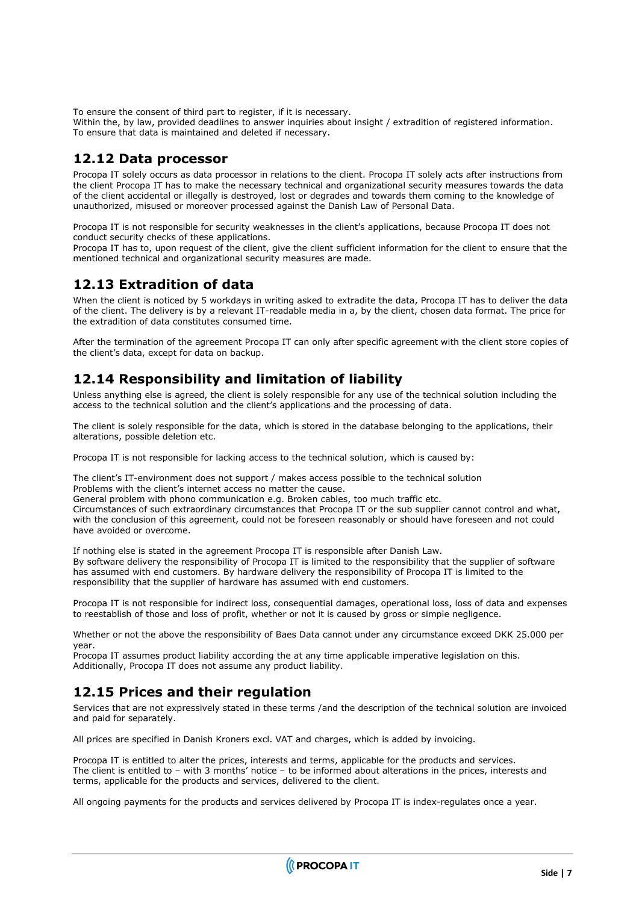To ensure the consent of third part to register, if it is necessary.

Within the, by law, provided deadlines to answer inquiries about insight / extradition of registered information. To ensure that data is maintained and deleted if necessary.

#### <span id="page-6-0"></span>**12.12 Data processor**

Procopa IT solely occurs as data processor in relations to the client. Procopa IT solely acts after instructions from the client Procopa IT has to make the necessary technical and organizational security measures towards the data of the client accidental or illegally is destroyed, lost or degrades and towards them coming to the knowledge of unauthorized, misused or moreover processed against the Danish Law of Personal Data.

Procopa IT is not responsible for security weaknesses in the client's applications, because Procopa IT does not conduct security checks of these applications.

Procopa IT has to, upon request of the client, give the client sufficient information for the client to ensure that the mentioned technical and organizational security measures are made.

#### <span id="page-6-1"></span>**12.13 Extradition of data**

When the client is noticed by 5 workdays in writing asked to extradite the data, Procopa IT has to deliver the data of the client. The delivery is by a relevant IT-readable media in a, by the client, chosen data format. The price for the extradition of data constitutes consumed time.

After the termination of the agreement Procopa IT can only after specific agreement with the client store copies of the client's data, except for data on backup.

#### <span id="page-6-2"></span>**12.14 Responsibility and limitation of liability**

Unless anything else is agreed, the client is solely responsible for any use of the technical solution including the access to the technical solution and the client's applications and the processing of data.

The client is solely responsible for the data, which is stored in the database belonging to the applications, their alterations, possible deletion etc.

Procopa IT is not responsible for lacking access to the technical solution, which is caused by:

The client's IT-environment does not support / makes access possible to the technical solution Problems with the client's internet access no matter the cause.

General problem with phono communication e.g. Broken cables, too much traffic etc.

Circumstances of such extraordinary circumstances that Procopa IT or the sub supplier cannot control and what, with the conclusion of this agreement, could not be foreseen reasonably or should have foreseen and not could have avoided or overcome.

If nothing else is stated in the agreement Procopa IT is responsible after Danish Law. By software delivery the responsibility of Procopa IT is limited to the responsibility that the supplier of software has assumed with end customers. By hardware delivery the responsibility of Procopa IT is limited to the responsibility that the supplier of hardware has assumed with end customers.

Procopa IT is not responsible for indirect loss, consequential damages, operational loss, loss of data and expenses to reestablish of those and loss of profit, whether or not it is caused by gross or simple negligence.

Whether or not the above the responsibility of Baes Data cannot under any circumstance exceed DKK 25.000 per year.

Procopa IT assumes product liability according the at any time applicable imperative legislation on this. Additionally, Procopa IT does not assume any product liability.

#### <span id="page-6-3"></span>**12.15 Prices and their regulation**

Services that are not expressively stated in these terms /and the description of the technical solution are invoiced and paid for separately.

All prices are specified in Danish Kroners excl. VAT and charges, which is added by invoicing.

Procopa IT is entitled to alter the prices, interests and terms, applicable for the products and services. The client is entitled to – with 3 months' notice – to be informed about alterations in the prices, interests and terms, applicable for the products and services, delivered to the client.

All ongoing payments for the products and services delivered by Procopa IT is index-regulates once a year.

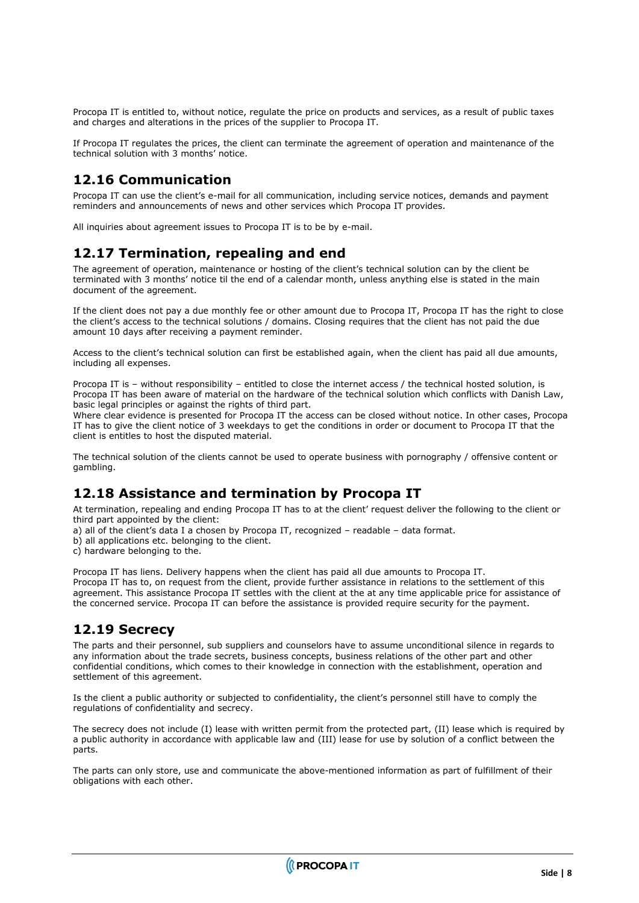Procopa IT is entitled to, without notice, regulate the price on products and services, as a result of public taxes and charges and alterations in the prices of the supplier to Procopa IT.

If Procopa IT regulates the prices, the client can terminate the agreement of operation and maintenance of the technical solution with 3 months' notice.

#### <span id="page-7-0"></span>**12.16 Communication**

Procopa IT can use the client's e-mail for all communication, including service notices, demands and payment reminders and announcements of news and other services which Procopa IT provides.

<span id="page-7-1"></span>All inquiries about agreement issues to Procopa IT is to be by e-mail.

#### **12.17 Termination, repealing and end**

The agreement of operation, maintenance or hosting of the client's technical solution can by the client be terminated with 3 months' notice til the end of a calendar month, unless anything else is stated in the main document of the agreement.

If the client does not pay a due monthly fee or other amount due to Procopa IT, Procopa IT has the right to close the client's access to the technical solutions / domains. Closing requires that the client has not paid the due amount 10 days after receiving a payment reminder.

Access to the client's technical solution can first be established again, when the client has paid all due amounts, including all expenses.

Procopa IT is – without responsibility – entitled to close the internet access / the technical hosted solution, is Procopa IT has been aware of material on the hardware of the technical solution which conflicts with Danish Law, basic legal principles or against the rights of third part.

Where clear evidence is presented for Procopa IT the access can be closed without notice. In other cases, Procopa IT has to give the client notice of 3 weekdays to get the conditions in order or document to Procopa IT that the client is entitles to host the disputed material.

The technical solution of the clients cannot be used to operate business with pornography / offensive content or gambling.

#### <span id="page-7-2"></span>**12.18 Assistance and termination by Procopa IT**

At termination, repealing and ending Procopa IT has to at the client' request deliver the following to the client or third part appointed by the client:

a) all of the client's data I a chosen by Procopa IT, recognized – readable – data format.

b) all applications etc. belonging to the client.

c) hardware belonging to the.

Procopa IT has liens. Delivery happens when the client has paid all due amounts to Procopa IT. Procopa IT has to, on request from the client, provide further assistance in relations to the settlement of this agreement. This assistance Procopa IT settles with the client at the at any time applicable price for assistance of the concerned service. Procopa IT can before the assistance is provided require security for the payment.

#### <span id="page-7-3"></span>**12.19 Secrecy**

The parts and their personnel, sub suppliers and counselors have to assume unconditional silence in regards to any information about the trade secrets, business concepts, business relations of the other part and other confidential conditions, which comes to their knowledge in connection with the establishment, operation and settlement of this agreement.

Is the client a public authority or subjected to confidentiality, the client's personnel still have to comply the regulations of confidentiality and secrecy.

The secrecy does not include (I) lease with written permit from the protected part, (II) lease which is required by a public authority in accordance with applicable law and (III) lease for use by solution of a conflict between the parts.

The parts can only store, use and communicate the above-mentioned information as part of fulfillment of their obligations with each other.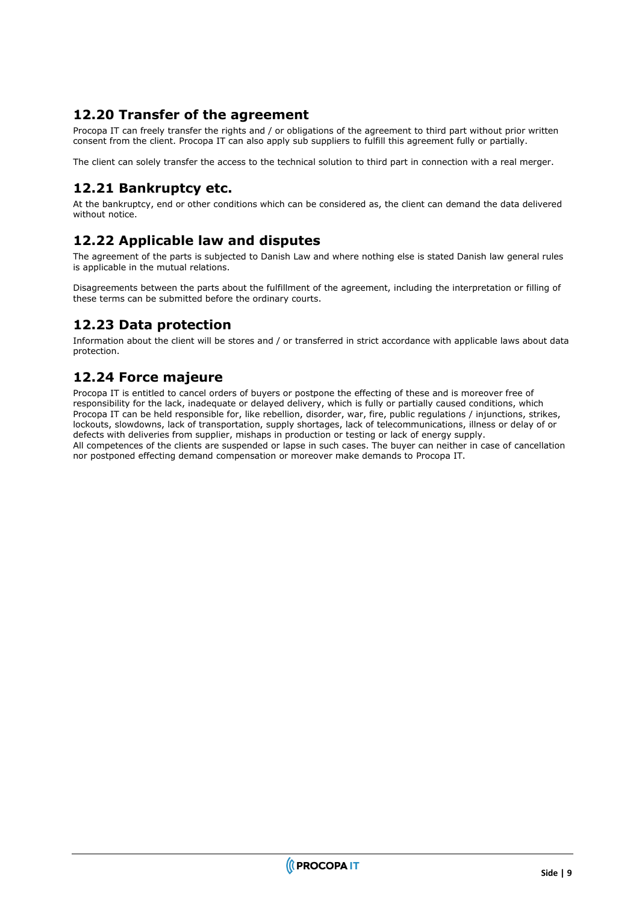#### <span id="page-8-0"></span>**12.20 Transfer of the agreement**

Procopa IT can freely transfer the rights and / or obligations of the agreement to third part without prior written consent from the client. Procopa IT can also apply sub suppliers to fulfill this agreement fully or partially.

<span id="page-8-1"></span>The client can solely transfer the access to the technical solution to third part in connection with a real merger.

#### **12.21 Bankruptcy etc.**

At the bankruptcy, end or other conditions which can be considered as, the client can demand the data delivered without notice.

#### <span id="page-8-2"></span>**12.22 Applicable law and disputes**

The agreement of the parts is subjected to Danish Law and where nothing else is stated Danish law general rules is applicable in the mutual relations.

Disagreements between the parts about the fulfillment of the agreement, including the interpretation or filling of these terms can be submitted before the ordinary courts.

#### <span id="page-8-3"></span>**12.23 Data protection**

Information about the client will be stores and / or transferred in strict accordance with applicable laws about data protection.

#### <span id="page-8-4"></span>**12.24 Force majeure**

Procopa IT is entitled to cancel orders of buyers or postpone the effecting of these and is moreover free of responsibility for the lack, inadequate or delayed delivery, which is fully or partially caused conditions, which Procopa IT can be held responsible for, like rebellion, disorder, war, fire, public regulations / injunctions, strikes, lockouts, slowdowns, lack of transportation, supply shortages, lack of telecommunications, illness or delay of or defects with deliveries from supplier, mishaps in production or testing or lack of energy supply. All competences of the clients are suspended or lapse in such cases. The buyer can neither in case of cancellation nor postponed effecting demand compensation or moreover make demands to Procopa IT.

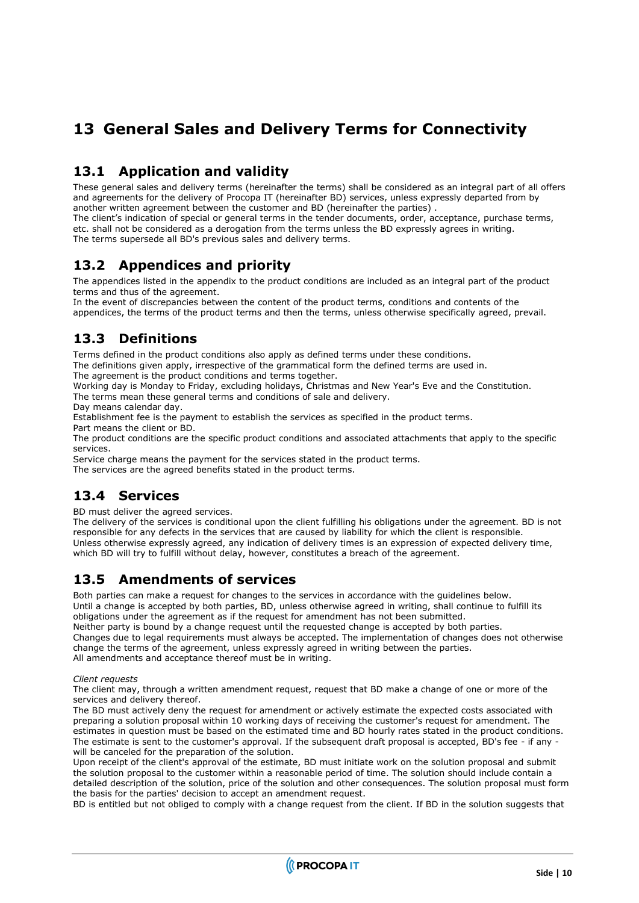### <span id="page-9-0"></span>**13 General Sales and Delivery Terms for Connectivity**

#### <span id="page-9-1"></span>**13.1 Application and validity**

These general sales and delivery terms (hereinafter the terms) shall be considered as an integral part of all offers and agreements for the delivery of Procopa IT (hereinafter BD) services, unless expressly departed from by another written agreement between the customer and BD (hereinafter the parties) .

The client's indication of special or general terms in the tender documents, order, acceptance, purchase terms, etc. shall not be considered as a derogation from the terms unless the BD expressly agrees in writing. The terms supersede all BD's previous sales and delivery terms.

#### <span id="page-9-2"></span>**13.2 Appendices and priority**

The appendices listed in the appendix to the product conditions are included as an integral part of the product terms and thus of the agreement.

In the event of discrepancies between the content of the product terms, conditions and contents of the appendices, the terms of the product terms and then the terms, unless otherwise specifically agreed, prevail.

#### <span id="page-9-3"></span>**13.3 Definitions**

Terms defined in the product conditions also apply as defined terms under these conditions.

The definitions given apply, irrespective of the grammatical form the defined terms are used in.

The agreement is the product conditions and terms together.

Working day is Monday to Friday, excluding holidays, Christmas and New Year's Eve and the Constitution. The terms mean these general terms and conditions of sale and delivery.

Day means calendar day.

Establishment fee is the payment to establish the services as specified in the product terms. Part means the client or BD.

The product conditions are the specific product conditions and associated attachments that apply to the specific services.

Service charge means the payment for the services stated in the product terms.

<span id="page-9-4"></span>The services are the agreed benefits stated in the product terms.

#### **13.4 Services**

BD must deliver the agreed services.

The delivery of the services is conditional upon the client fulfilling his obligations under the agreement. BD is not responsible for any defects in the services that are caused by liability for which the client is responsible. Unless otherwise expressly agreed, any indication of delivery times is an expression of expected delivery time, which BD will try to fulfill without delay, however, constitutes a breach of the agreement.

#### <span id="page-9-5"></span>**13.5 Amendments of services**

Both parties can make a request for changes to the services in accordance with the guidelines below. Until a change is accepted by both parties, BD, unless otherwise agreed in writing, shall continue to fulfill its obligations under the agreement as if the request for amendment has not been submitted.

Neither party is bound by a change request until the requested change is accepted by both parties. Changes due to legal requirements must always be accepted. The implementation of changes does not otherwise change the terms of the agreement, unless expressly agreed in writing between the parties. All amendments and acceptance thereof must be in writing.

#### *Client requests*

The client may, through a written amendment request, request that BD make a change of one or more of the services and delivery thereof.

The BD must actively deny the request for amendment or actively estimate the expected costs associated with preparing a solution proposal within 10 working days of receiving the customer's request for amendment. The estimates in question must be based on the estimated time and BD hourly rates stated in the product conditions. The estimate is sent to the customer's approval. If the subsequent draft proposal is accepted, BD's fee - if any will be canceled for the preparation of the solution.

Upon receipt of the client's approval of the estimate, BD must initiate work on the solution proposal and submit the solution proposal to the customer within a reasonable period of time. The solution should include contain a detailed description of the solution, price of the solution and other consequences. The solution proposal must form the basis for the parties' decision to accept an amendment request.

BD is entitled but not obliged to comply with a change request from the client. If BD in the solution suggests that

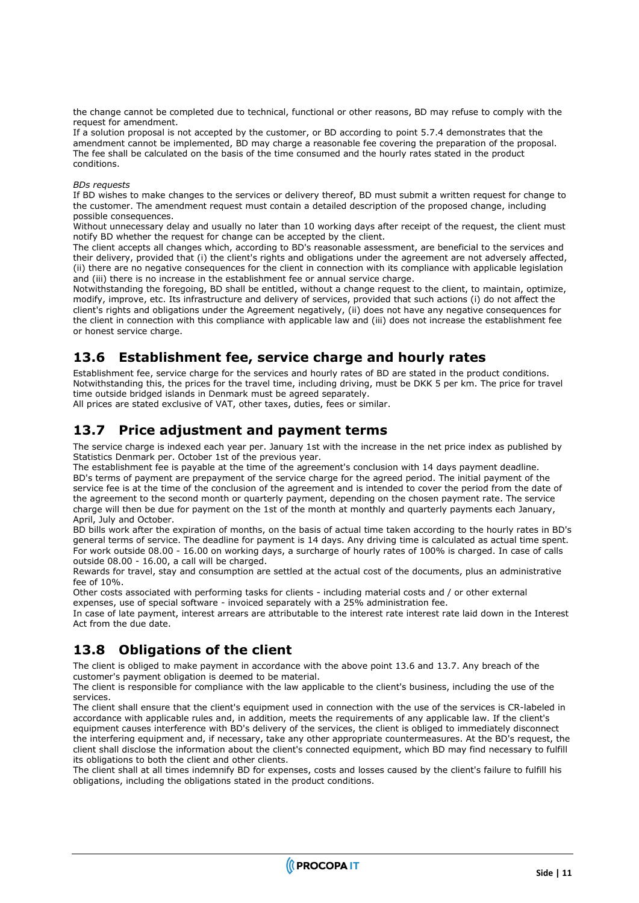the change cannot be completed due to technical, functional or other reasons, BD may refuse to comply with the request for amendment.

If a solution proposal is not accepted by the customer, or BD according to point 5.7.4 demonstrates that the amendment cannot be implemented, BD may charge a reasonable fee covering the preparation of the proposal. The fee shall be calculated on the basis of the time consumed and the hourly rates stated in the product conditions.

#### *BDs requests*

If BD wishes to make changes to the services or delivery thereof, BD must submit a written request for change to the customer. The amendment request must contain a detailed description of the proposed change, including possible consequences.

Without unnecessary delay and usually no later than 10 working days after receipt of the request, the client must notify BD whether the request for change can be accepted by the client.

The client accepts all changes which, according to BD's reasonable assessment, are beneficial to the services and their delivery, provided that (i) the client's rights and obligations under the agreement are not adversely affected, (ii) there are no negative consequences for the client in connection with its compliance with applicable legislation and (iii) there is no increase in the establishment fee or annual service charge.

Notwithstanding the foregoing, BD shall be entitled, without a change request to the client, to maintain, optimize, modify, improve, etc. Its infrastructure and delivery of services, provided that such actions (i) do not affect the client's rights and obligations under the Agreement negatively, (ii) does not have any negative consequences for the client in connection with this compliance with applicable law and (iii) does not increase the establishment fee or honest service charge.

#### <span id="page-10-0"></span>**13.6 Establishment fee, service charge and hourly rates**

Establishment fee, service charge for the services and hourly rates of BD are stated in the product conditions. Notwithstanding this, the prices for the travel time, including driving, must be DKK 5 per km. The price for travel time outside bridged islands in Denmark must be agreed separately.

<span id="page-10-1"></span>All prices are stated exclusive of VAT, other taxes, duties, fees or similar.

#### **13.7 Price adjustment and payment terms**

The service charge is indexed each year per. January 1st with the increase in the net price index as published by Statistics Denmark per. October 1st of the previous year.

The establishment fee is payable at the time of the agreement's conclusion with 14 days payment deadline. BD's terms of payment are prepayment of the service charge for the agreed period. The initial payment of the service fee is at the time of the conclusion of the agreement and is intended to cover the period from the date of the agreement to the second month or quarterly payment, depending on the chosen payment rate. The service charge will then be due for payment on the 1st of the month at monthly and quarterly payments each January, April, July and October.

BD bills work after the expiration of months, on the basis of actual time taken according to the hourly rates in BD's general terms of service. The deadline for payment is 14 days. Any driving time is calculated as actual time spent. For work outside 08.00 - 16.00 on working days, a surcharge of hourly rates of 100% is charged. In case of calls outside 08.00 - 16.00, a call will be charged.

Rewards for travel, stay and consumption are settled at the actual cost of the documents, plus an administrative fee of 10%.

Other costs associated with performing tasks for clients - including material costs and / or other external expenses, use of special software - invoiced separately with a 25% administration fee.

In case of late payment, interest arrears are attributable to the interest rate interest rate laid down in the Interest Act from the due date.

#### <span id="page-10-2"></span>**13.8 Obligations of the client**

The client is obliged to make payment in accordance with the above point 13.6 and 13.7. Any breach of the customer's payment obligation is deemed to be material.

The client is responsible for compliance with the law applicable to the client's business, including the use of the services.

The client shall ensure that the client's equipment used in connection with the use of the services is CR-labeled in accordance with applicable rules and, in addition, meets the requirements of any applicable law. If the client's equipment causes interference with BD's delivery of the services, the client is obliged to immediately disconnect the interfering equipment and, if necessary, take any other appropriate countermeasures. At the BD's request, the client shall disclose the information about the client's connected equipment, which BD may find necessary to fulfill its obligations to both the client and other clients.

The client shall at all times indemnify BD for expenses, costs and losses caused by the client's failure to fulfill his obligations, including the obligations stated in the product conditions.

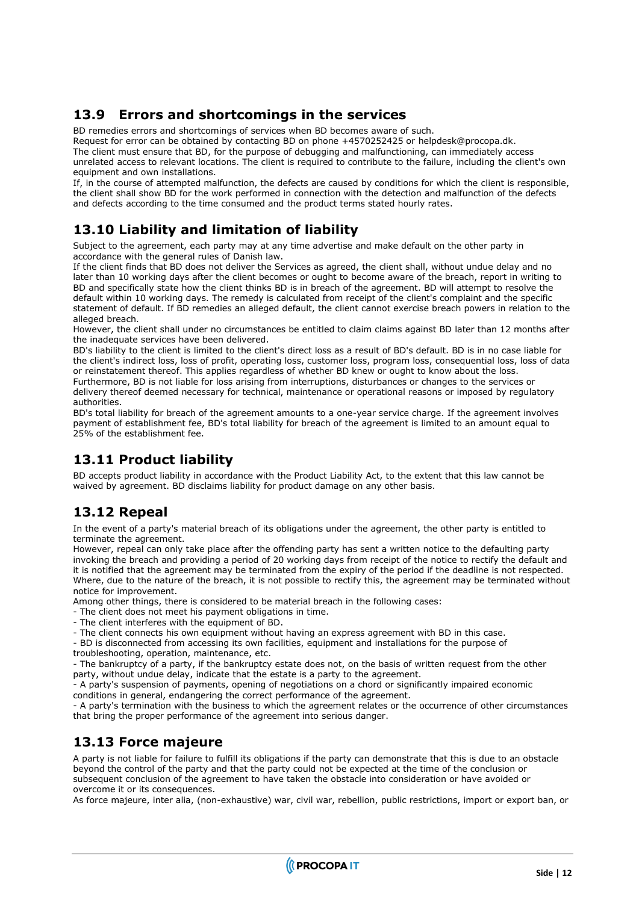#### <span id="page-11-0"></span>**13.9 Errors and shortcomings in the services**

BD remedies errors and shortcomings of services when BD becomes aware of such.

Request for error can be obtained by contacting BD on phone +4570252425 or helpdesk@procopa.dk. The client must ensure that BD, for the purpose of debugging and malfunctioning, can immediately access unrelated access to relevant locations. The client is required to contribute to the failure, including the client's own equipment and own installations.

If, in the course of attempted malfunction, the defects are caused by conditions for which the client is responsible, the client shall show BD for the work performed in connection with the detection and malfunction of the defects and defects according to the time consumed and the product terms stated hourly rates.

### <span id="page-11-1"></span>**13.10 Liability and limitation of liability**

Subject to the agreement, each party may at any time advertise and make default on the other party in accordance with the general rules of Danish law.

If the client finds that BD does not deliver the Services as agreed, the client shall, without undue delay and no later than 10 working days after the client becomes or ought to become aware of the breach, report in writing to BD and specifically state how the client thinks BD is in breach of the agreement. BD will attempt to resolve the default within 10 working days. The remedy is calculated from receipt of the client's complaint and the specific statement of default. If BD remedies an alleged default, the client cannot exercise breach powers in relation to the alleged breach.

However, the client shall under no circumstances be entitled to claim claims against BD later than 12 months after the inadequate services have been delivered.

BD's liability to the client is limited to the client's direct loss as a result of BD's default. BD is in no case liable for the client's indirect loss, loss of profit, operating loss, customer loss, program loss, consequential loss, loss of data or reinstatement thereof. This applies regardless of whether BD knew or ought to know about the loss. Furthermore, BD is not liable for loss arising from interruptions, disturbances or changes to the services or delivery thereof deemed necessary for technical, maintenance or operational reasons or imposed by regulatory

authorities. BD's total liability for breach of the agreement amounts to a one-year service charge. If the agreement involves payment of establishment fee, BD's total liability for breach of the agreement is limited to an amount equal to

#### **13.11 Product liability**

<span id="page-11-2"></span>25% of the establishment fee.

BD accepts product liability in accordance with the Product Liability Act, to the extent that this law cannot be waived by agreement. BD disclaims liability for product damage on any other basis.

#### <span id="page-11-3"></span>**13.12 Repeal**

In the event of a party's material breach of its obligations under the agreement, the other party is entitled to terminate the agreement.

However, repeal can only take place after the offending party has sent a written notice to the defaulting party invoking the breach and providing a period of 20 working days from receipt of the notice to rectify the default and it is notified that the agreement may be terminated from the expiry of the period if the deadline is not respected. Where, due to the nature of the breach, it is not possible to rectify this, the agreement may be terminated without notice for improvement.

Among other things, there is considered to be material breach in the following cases:

- The client does not meet his payment obligations in time.
- The client interferes with the equipment of BD.
- The client connects his own equipment without having an express agreement with BD in this case.

- BD is disconnected from accessing its own facilities, equipment and installations for the purpose of troubleshooting, operation, maintenance, etc.

- The bankruptcy of a party, if the bankruptcy estate does not, on the basis of written request from the other party, without undue delay, indicate that the estate is a party to the agreement.

- A party's suspension of payments, opening of negotiations on a chord or significantly impaired economic conditions in general, endangering the correct performance of the agreement.

- A party's termination with the business to which the agreement relates or the occurrence of other circumstances that bring the proper performance of the agreement into serious danger.

#### <span id="page-11-4"></span>**13.13 Force majeure**

A party is not liable for failure to fulfill its obligations if the party can demonstrate that this is due to an obstacle beyond the control of the party and that the party could not be expected at the time of the conclusion or subsequent conclusion of the agreement to have taken the obstacle into consideration or have avoided or overcome it or its consequences.

As force majeure, inter alia, (non-exhaustive) war, civil war, rebellion, public restrictions, import or export ban, or